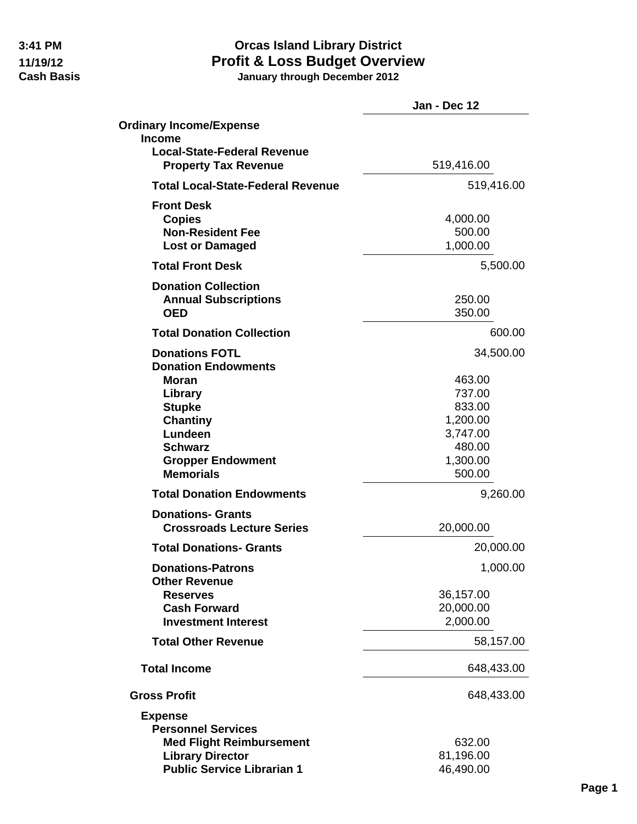|                                                                   | Jan - Dec 12           |
|-------------------------------------------------------------------|------------------------|
| <b>Ordinary Income/Expense</b>                                    |                        |
| <b>Income</b>                                                     |                        |
| <b>Local-State-Federal Revenue</b><br><b>Property Tax Revenue</b> | 519,416.00             |
| <b>Total Local-State-Federal Revenue</b>                          | 519,416.00             |
| <b>Front Desk</b>                                                 |                        |
| <b>Copies</b><br><b>Non-Resident Fee</b>                          | 4,000.00<br>500.00     |
| <b>Lost or Damaged</b>                                            | 1,000.00               |
| <b>Total Front Desk</b>                                           | 5,500.00               |
|                                                                   |                        |
| <b>Donation Collection</b>                                        | 250.00                 |
| <b>Annual Subscriptions</b><br><b>OED</b>                         | 350.00                 |
|                                                                   |                        |
| <b>Total Donation Collection</b>                                  | 600.00                 |
| <b>Donations FOTL</b><br><b>Donation Endowments</b>               | 34,500.00              |
| <b>Moran</b>                                                      | 463.00                 |
| Library                                                           | 737.00                 |
| <b>Stupke</b>                                                     | 833.00                 |
| <b>Chantiny</b>                                                   | 1,200.00               |
| Lundeen                                                           | 3,747.00               |
| <b>Schwarz</b>                                                    | 480.00                 |
| <b>Gropper Endowment</b>                                          | 1,300.00               |
| <b>Memorials</b>                                                  | 500.00                 |
| <b>Total Donation Endowments</b>                                  | 9,260.00               |
| <b>Donations- Grants</b>                                          |                        |
| <b>Crossroads Lecture Series</b>                                  | 20,000.00              |
| <b>Total Donations- Grants</b>                                    | 20,000.00              |
| <b>Donations-Patrons</b>                                          | 1,000.00               |
| <b>Other Revenue</b>                                              |                        |
| <b>Reserves</b><br><b>Cash Forward</b>                            | 36,157.00<br>20,000.00 |
| <b>Investment Interest</b>                                        | 2,000.00               |
|                                                                   |                        |
| <b>Total Other Revenue</b>                                        | 58,157.00              |
| <b>Total Income</b>                                               | 648,433.00             |
| <b>Gross Profit</b>                                               | 648,433.00             |
| <b>Expense</b>                                                    |                        |
| <b>Personnel Services</b>                                         |                        |
| <b>Med Flight Reimbursement</b>                                   | 632.00                 |
| <b>Library Director</b>                                           | 81,196.00              |
| <b>Public Service Librarian 1</b>                                 | 46,490.00              |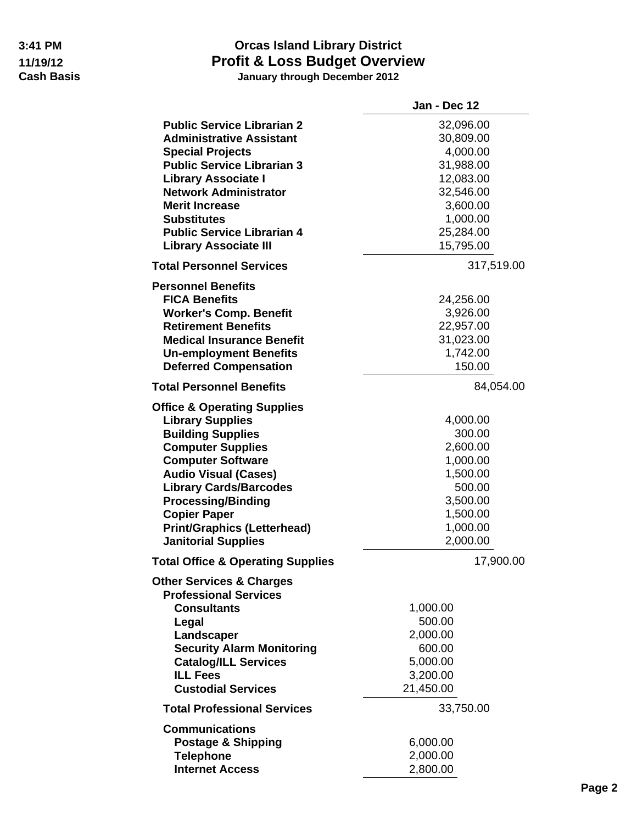|                                              | Jan - Dec 12 |
|----------------------------------------------|--------------|
| <b>Public Service Librarian 2</b>            | 32,096.00    |
| <b>Administrative Assistant</b>              | 30,809.00    |
| <b>Special Projects</b>                      | 4,000.00     |
| <b>Public Service Librarian 3</b>            | 31,988.00    |
| <b>Library Associate I</b>                   | 12,083.00    |
| <b>Network Administrator</b>                 | 32,546.00    |
| <b>Merit Increase</b>                        | 3,600.00     |
| <b>Substitutes</b>                           | 1,000.00     |
| <b>Public Service Librarian 4</b>            | 25,284.00    |
| <b>Library Associate III</b>                 | 15,795.00    |
| <b>Total Personnel Services</b>              | 317,519.00   |
| <b>Personnel Benefits</b>                    |              |
| <b>FICA Benefits</b>                         | 24,256.00    |
| <b>Worker's Comp. Benefit</b>                | 3,926.00     |
| <b>Retirement Benefits</b>                   | 22,957.00    |
| <b>Medical Insurance Benefit</b>             | 31,023.00    |
| <b>Un-employment Benefits</b>                | 1,742.00     |
| <b>Deferred Compensation</b>                 | 150.00       |
| <b>Total Personnel Benefits</b>              | 84,054.00    |
| <b>Office &amp; Operating Supplies</b>       |              |
| <b>Library Supplies</b>                      | 4,000.00     |
| <b>Building Supplies</b>                     | 300.00       |
| <b>Computer Supplies</b>                     | 2,600.00     |
| <b>Computer Software</b>                     | 1,000.00     |
| <b>Audio Visual (Cases)</b>                  | 1,500.00     |
| <b>Library Cards/Barcodes</b>                | 500.00       |
| <b>Processing/Binding</b>                    | 3,500.00     |
| <b>Copier Paper</b>                          | 1,500.00     |
| <b>Print/Graphics (Letterhead)</b>           | 1,000.00     |
| <b>Janitorial Supplies</b>                   | 2,000.00     |
| <b>Total Office &amp; Operating Supplies</b> | 17,900.00    |
| <b>Other Services &amp; Charges</b>          |              |
| <b>Professional Services</b>                 |              |
| <b>Consultants</b>                           | 1,000.00     |
| Legal                                        | 500.00       |
| Landscaper                                   | 2,000.00     |
| <b>Security Alarm Monitoring</b>             | 600.00       |
| <b>Catalog/ILL Services</b>                  | 5,000.00     |
| <b>ILL Fees</b>                              | 3,200.00     |
| <b>Custodial Services</b>                    | 21,450.00    |
| <b>Total Professional Services</b>           | 33,750.00    |
| <b>Communications</b>                        |              |
| <b>Postage &amp; Shipping</b>                | 6,000.00     |
| <b>Telephone</b>                             | 2,000.00     |
| <b>Internet Access</b>                       | 2,800.00     |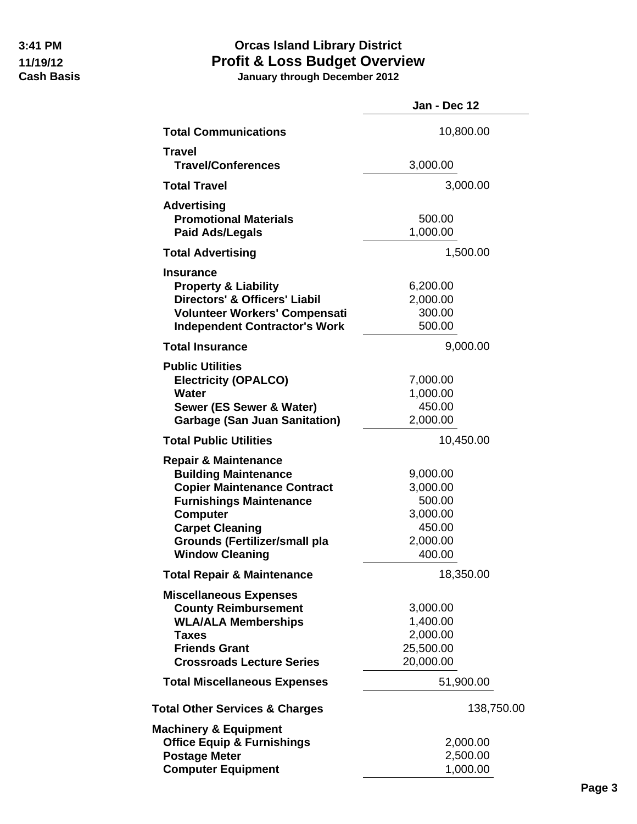|                                                                                                                                                                                                                                                       | Jan - Dec 12                                                               |
|-------------------------------------------------------------------------------------------------------------------------------------------------------------------------------------------------------------------------------------------------------|----------------------------------------------------------------------------|
| <b>Total Communications</b>                                                                                                                                                                                                                           | 10,800.00                                                                  |
| <b>Travel</b>                                                                                                                                                                                                                                         |                                                                            |
| <b>Travel/Conferences</b>                                                                                                                                                                                                                             | 3,000.00                                                                   |
| <b>Total Travel</b>                                                                                                                                                                                                                                   | 3,000.00                                                                   |
| <b>Advertising</b><br><b>Promotional Materials</b><br><b>Paid Ads/Legals</b>                                                                                                                                                                          | 500.00<br>1,000.00                                                         |
| <b>Total Advertising</b>                                                                                                                                                                                                                              | 1,500.00                                                                   |
| <b>Insurance</b><br><b>Property &amp; Liability</b><br><b>Directors' &amp; Officers' Liabil</b><br>Volunteer Workers' Compensati<br><b>Independent Contractor's Work</b>                                                                              | 6,200.00<br>2,000.00<br>300.00<br>500.00                                   |
| <b>Total Insurance</b>                                                                                                                                                                                                                                | 9,000.00                                                                   |
| <b>Public Utilities</b><br><b>Electricity (OPALCO)</b><br><b>Water</b><br>Sewer (ES Sewer & Water)<br><b>Garbage (San Juan Sanitation)</b>                                                                                                            | 7,000.00<br>1,000.00<br>450.00<br>2,000.00                                 |
| <b>Total Public Utilities</b>                                                                                                                                                                                                                         | 10,450.00                                                                  |
| <b>Repair &amp; Maintenance</b><br><b>Building Maintenance</b><br><b>Copier Maintenance Contract</b><br><b>Furnishings Maintenance</b><br><b>Computer</b><br><b>Carpet Cleaning</b><br><b>Grounds (Fertilizer/small pla</b><br><b>Window Cleaning</b> | 9,000.00<br>3,000.00<br>500.00<br>3,000.00<br>450.00<br>2,000.00<br>400.00 |
| <b>Total Repair &amp; Maintenance</b>                                                                                                                                                                                                                 | 18,350.00                                                                  |
| <b>Miscellaneous Expenses</b><br><b>County Reimbursement</b><br><b>WLA/ALA Memberships</b><br><b>Taxes</b><br><b>Friends Grant</b><br><b>Crossroads Lecture Series</b>                                                                                | 3,000.00<br>1,400.00<br>2,000.00<br>25,500.00<br>20,000.00                 |
| <b>Total Miscellaneous Expenses</b>                                                                                                                                                                                                                   | 51,900.00                                                                  |
| <b>Total Other Services &amp; Charges</b>                                                                                                                                                                                                             | 138,750.00                                                                 |
| <b>Machinery &amp; Equipment</b><br><b>Office Equip &amp; Furnishings</b><br><b>Postage Meter</b><br><b>Computer Equipment</b>                                                                                                                        | 2,000.00<br>2,500.00<br>1,000.00                                           |